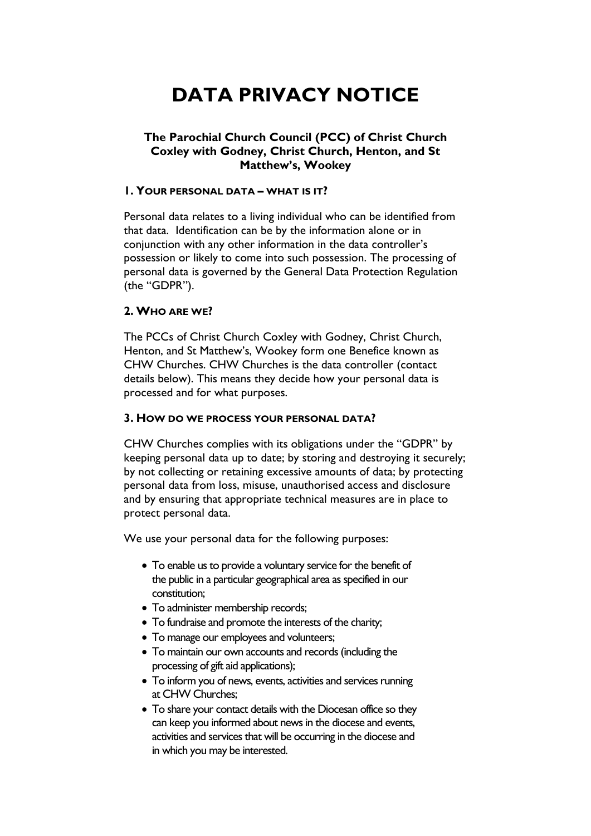# **DATA PRIVACY NOTICE**

## **The Parochial Church Council (PCC) of Christ Church Coxley with Godney, Christ Church, Henton, and St Matthew's, Wookey**

#### **1. YOUR PERSONAL DATA – WHAT IS IT?**

Personal data relates to a living individual who can be identified from that data. Identification can be by the information alone or in conjunction with any other information in the data controller's possession or likely to come into such possession. The processing of personal data is governed by the General Data Protection Regulation (the "GDPR").

### **2. WHO ARE WE?**

The PCCs of Christ Church Coxley with Godney, Christ Church, Henton, and St Matthew's, Wookey form one Benefice known as CHW Churches. CHW Churches is the data controller (contact details below). This means they decide how your personal data is processed and for what purposes.

#### **3. HOW DO WE PROCESS YOUR PERSONAL DATA?**

CHW Churches complies with its obligations under the "GDPR" by keeping personal data up to date; by storing and destroying it securely; by not collecting or retaining excessive amounts of data; by protecting personal data from loss, misuse, unauthorised access and disclosure and by ensuring that appropriate technical measures are in place to protect personal data.

We use your personal data for the following purposes:

- To enable us to provide a voluntary service for the benefit of the public in a particular geographical area as specified in our constitution;
- To administer membership records;
- To fundraise and promote the interests of the charity;
- To manage our employees and volunteers;
- To maintain our own accounts and records (including the processing of gift aid applications);
- To inform you of news, events, activities and services running at CHW Churches;
- To share your contact details with the Diocesan office so they can keep you informed about news in the diocese and events, activities and services that will be occurring in the diocese and in which you may be interested.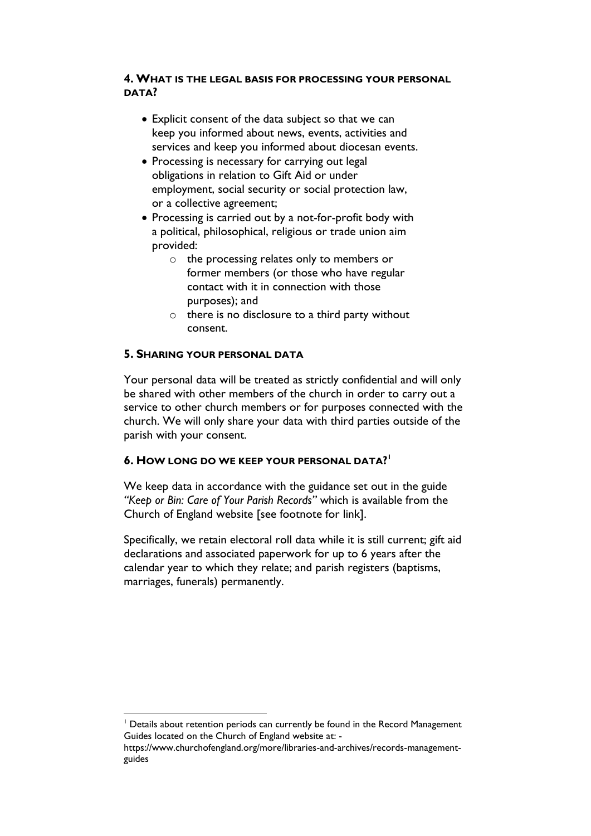# **4. WHAT IS THE LEGAL BASIS FOR PROCESSING YOUR PERSONAL DATA?**

- Explicit consent of the data subject so that we can keep you informed about news, events, activities and services and keep you informed about diocesan events.
- Processing is necessary for carrying out legal obligations in relation to Gift Aid or under employment, social security or social protection law, or a collective agreement;
- Processing is carried out by a not-for-profit body with a political, philosophical, religious or trade union aim provided:
	- o the processing relates only to members or former members (or those who have regular contact with it in connection with those purposes); and
	- $\circ$  there is no disclosure to a third party without consent.

# **5. SHARING YOUR PERSONAL DATA**

<u>.</u>

Your personal data will be treated as strictly confidential and will only be shared with other members of the church in order to carry out a service to other church members or for purposes connected with the church. We will only share your data with third parties outside of the parish with your consent.

# **6. HOW LONG DO WE KEEP YOUR PERSONAL DATA? 1**

We keep data in accordance with the guidance set out in the guide *"Keep or Bin: Care of Your Parish Records"* which is available from the Church of England website [see footnote for link].

Specifically, we retain electoral roll data while it is still current; gift aid declarations and associated paperwork for up to 6 years after the calendar year to which they relate; and parish registers (baptisms, marriages, funerals) permanently.

<sup>&</sup>lt;sup>1</sup> Details about retention periods can currently be found in the Record Management Guides located on the Church of England website at: -

https://www.churchofengland.org/more/libraries-and-archives/records-managementguides